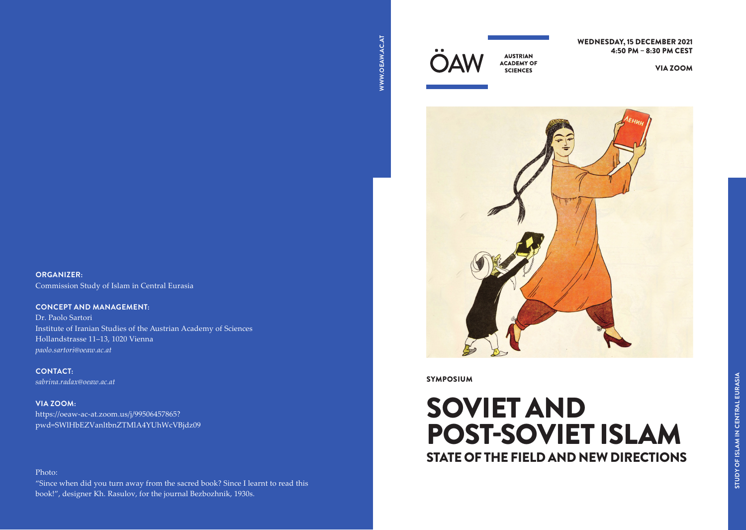

WEDNESDAY, 15 DECEMBER 2021 4:50 PM – 8:30 PM CEST

VIA [ZOOM](https://oeaw-ac-at.zoom.us/j/99506457865?pwd=SWlHbEZVanltbnZTMlA4YUhWcVBjdz09)



**SYMPOSIUM** 

# STATE OF THE FIELD AND NEW DIRECTIONS SOVIET AND POST-SOVIET ISLAM

## **ORGANIZER:**

Commission Study of Islam in Central Eurasia

## **CONCEPT AND MANAGEMENT:**

Dr. Paolo Sartori Institute of Iranian Studies of the Austrian Academy of Sciences Hollandstrasse 11–13, 1020 Vienna *paolo.sartori@oeaw.ac.at*

**CONTACT:** *[sabrina.radax@oeaw.ac.at](mailto:sabrina.radax%40oeaw.ac.at?subject=)*

### **VIA ZOOM:**

https://oeaw-ac-at.zoom.us/j/99506457865? [pwd=SWlHbEZVanltbnZTMlA4YUhWcVBjdz09](https://oeaw-ac-at.zoom.us/j/99506457865?pwd=SWlHbEZVanltbnZTMlA4YUhWcVBjdz09)

### Photo:

"Since when did you turn away from the sacred book? Since I learnt to read this book!", designer Kh. Rasulov, for the journal Bezbozhnik, 1930s.